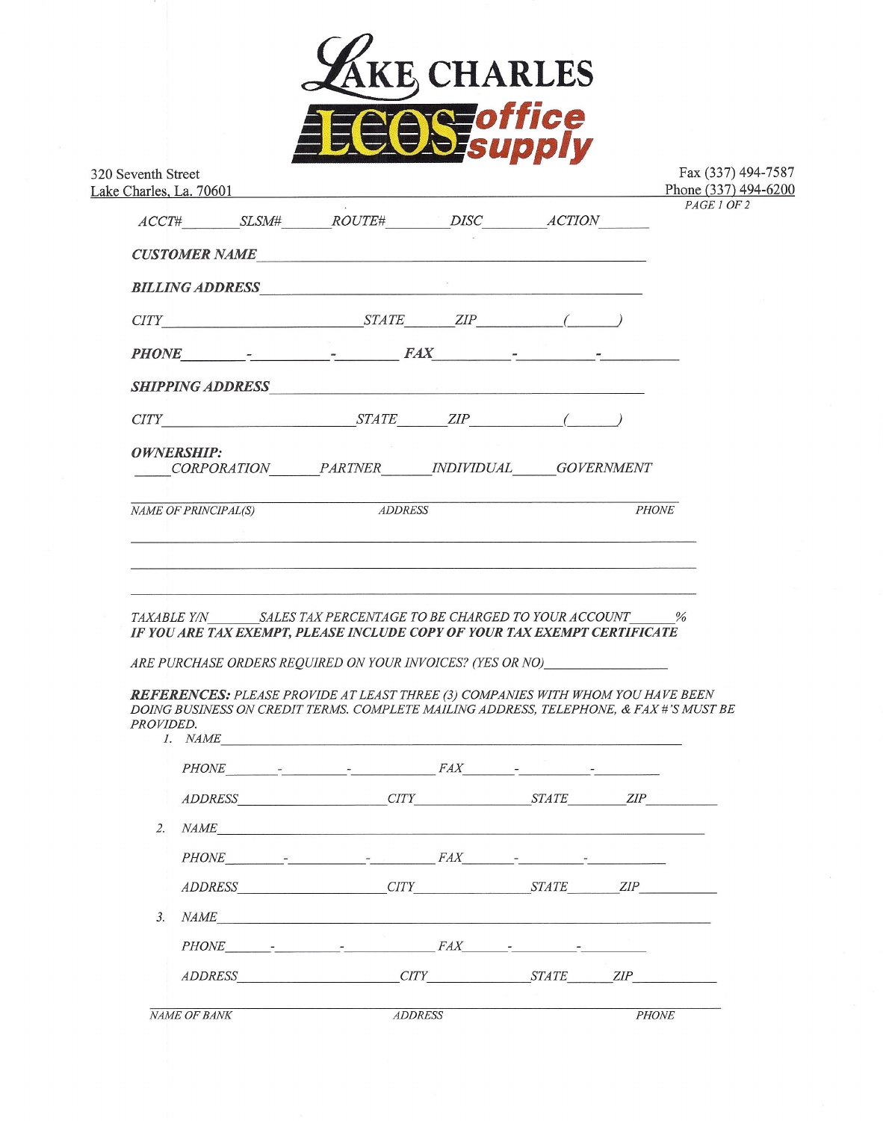

|                      |  | Lake Charles, La. 70601<br>$\begin{picture}(180,190) \put(0,0){\vector(1,0){100}} \put(15,0){\vector(1,0){100}} \put(15,0){\vector(1,0){100}} \put(15,0){\vector(1,0){100}} \put(15,0){\vector(1,0){100}} \put(15,0){\vector(1,0){100}} \put(15,0){\vector(1,0){100}} \put(15,0){\vector(1,0){100}} \put(15,0){\vector(1,0){100}} \put(15,0){\vector(1,0){100}} \put(15,0){\vector(1,0){100$               |  |  | PAGE 1 OF 2  |
|----------------------|--|------------------------------------------------------------------------------------------------------------------------------------------------------------------------------------------------------------------------------------------------------------------------------------------------------------------------------------------------------------------------------------------------------------|--|--|--------------|
|                      |  | CUSTOMER NAME                                                                                                                                                                                                                                                                                                                                                                                              |  |  |              |
|                      |  | <b>BILLING ADDRESS</b>                                                                                                                                                                                                                                                                                                                                                                                     |  |  |              |
|                      |  | $CITY$ $STATE$ $ZIP$ (                                                                                                                                                                                                                                                                                                                                                                                     |  |  |              |
|                      |  |                                                                                                                                                                                                                                                                                                                                                                                                            |  |  |              |
|                      |  |                                                                                                                                                                                                                                                                                                                                                                                                            |  |  |              |
|                      |  | $CITY$ $STATE$ $ZIP$ (                                                                                                                                                                                                                                                                                                                                                                                     |  |  |              |
| OWNERSHIP:           |  | CORPORATION PARTNER INDIVIDUAL GOVERNMENT                                                                                                                                                                                                                                                                                                                                                                  |  |  |              |
| NAME OF PRINCIPAL(S) |  | <b>ADDRESS</b>                                                                                                                                                                                                                                                                                                                                                                                             |  |  | <b>PHONE</b> |
|                      |  |                                                                                                                                                                                                                                                                                                                                                                                                            |  |  |              |
|                      |  |                                                                                                                                                                                                                                                                                                                                                                                                            |  |  |              |
| PROVIDED.            |  | TAXABLE Y/N SALES TAX PERCENTAGE TO BE CHARGED TO YOUR ACCOUNT %<br>IF YOU ARE TAX EXEMPT, PLEASE INCLUDE COPY OF YOUR TAX EXEMPT CERTIFICATE<br>ARE PURCHASE ORDERS REQUIRED ON YOUR INVOICES? (YES OR NO)<br>REFERENCES: PLEASE PROVIDE AT LEAST THREE (3) COMPANIES WITH WHOM YOU HAVE BEEN<br>DOING BUSINESS ON CREDIT TERMS. COMPLETE MAILING ADDRESS, TELEPHONE, & FAX #'S MUST BE<br><i>I. NAME</i> |  |  |              |
|                      |  |                                                                                                                                                                                                                                                                                                                                                                                                            |  |  |              |
|                      |  | ADDRESS CITY STATE ZIP                                                                                                                                                                                                                                                                                                                                                                                     |  |  |              |
|                      |  | 2. $NAME$                                                                                                                                                                                                                                                                                                                                                                                                  |  |  |              |
|                      |  |                                                                                                                                                                                                                                                                                                                                                                                                            |  |  |              |
|                      |  | ADDRESS CITY STATE ZIP                                                                                                                                                                                                                                                                                                                                                                                     |  |  |              |
| 3.                   |  | NAME                                                                                                                                                                                                                                                                                                                                                                                                       |  |  |              |
|                      |  |                                                                                                                                                                                                                                                                                                                                                                                                            |  |  |              |